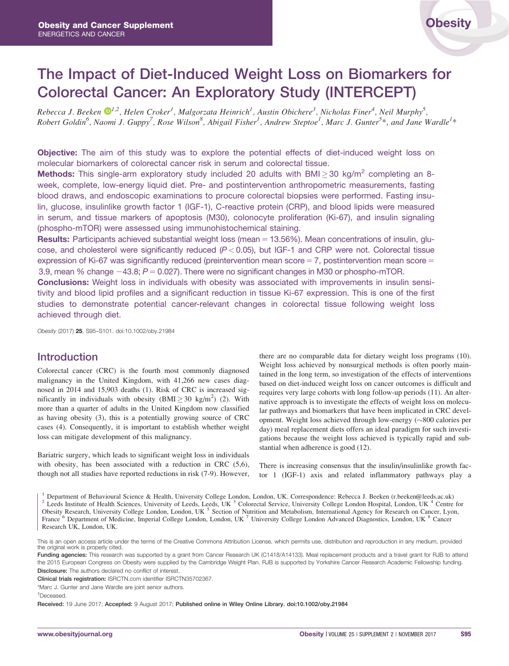# The Impact of Diet-Induced Weight Loss on Biomarkers for Colorectal Cancer: An Exploratory Study (INTERCEPT)

Rebecca J. Beeken  $\mathbb{D}^{1,2}$ , Helen Croker<sup>1</sup>, Malgorzata Heinrich<sup>1</sup>, Austin Obichere<sup>3</sup>, Nicholas Finer<sup>4</sup>, Neil Murphy<sup>5</sup>, Robert Goldin<sup>6</sup>, Naomi J. Guppy<sup>7</sup>, Rose Wilson<sup>8</sup>, Abigail Fisher<sup>1</sup>, Andrew Steptoe<sup>1</sup>, Marc J. Gunter<sup>5\*</sup>, and Jane Wardle<sup>1\*</sup>

**Objective:** The aim of this study was to explore the potential effects of diet-induced weight loss on molecular biomarkers of colorectal cancer risk in serum and colorectal tissue.

Methods: This single-arm exploratory study included 20 adults with BMI $\geq$  30 kg/m<sup>2</sup> completing an 8week, complete, low-energy liquid diet. Pre- and postintervention anthropometric measurements, fasting blood draws, and endoscopic examinations to procure colorectal biopsies were performed. Fasting insulin, glucose, insulinlike growth factor 1 (IGF-1), C-reactive protein (CRP), and blood lipids were measured in serum, and tissue markers of apoptosis (M30), colonocyte proliferation (Ki-67), and insulin signaling (phospho-mTOR) were assessed using immunohistochemical staining.

**Results:** Participants achieved substantial weight loss (mean  $= 13.56\%$ ). Mean concentrations of insulin, glucose, and cholesterol were significantly reduced ( $P < 0.05$ ), but IGF-1 and CRP were not. Colorectal tissue expression of Ki-67 was significantly reduced (preintervention mean score  $= 7$ , postintervention mean score  $=$ 3.9, mean % change  $-43.8$ ;  $P = 0.027$ ). There were no significant changes in M30 or phospho-mTOR.

Conclusions: Weight loss in individuals with obesity was associated with improvements in insulin sensitivity and blood lipid profiles and a significant reduction in tissue Ki-67 expression. This is one of the first studies to demonstrate potential cancer-relevant changes in colorectal tissue following weight loss achieved through diet.

Obesity (2017) 25, S95–S101. doi:10.1002/oby.21984

# Introduction

Colorectal cancer (CRC) is the fourth most commonly diagnosed malignancy in the United Kingdom, with 41,266 new cases diagnosed in 2014 and 15,903 deaths (1). Risk of CRC is increased significantly in individuals with obesity  $(BMI \ge 30 \text{ kg/m}^2)$  (2). With more than a quarter of adults in the United Kingdom now classified as having obesity (3), this is a potentially growing source of CRC cases (4). Consequently, it is important to establish whether weight loss can mitigate development of this malignancy.

Bariatric surgery, which leads to significant weight loss in individuals with obesity, has been associated with a reduction in CRC (5,6), though not all studies have reported reductions in risk (7-9). However, there are no comparable data for dietary weight loss programs (10). Weight loss achieved by nonsurgical methods is often poorly maintained in the long term, so investigation of the effects of interventions based on diet-induced weight loss on cancer outcomes is difficult and requires very large cohorts with long follow-up periods (11). An alternative approach is to investigate the effects of weight loss on molecular pathways and biomarkers that have been implicated in CRC development. Weight loss achieved through low-energy  $(\sim 800$  calories per day) meal replacement diets offers an ideal paradigm for such investigations because the weight loss achieved is typically rapid and substantial when adherence is good (12).

There is increasing consensus that the insulin/insulinlike growth factor 1 (IGF-1) axis and related inflammatory pathways play a

<sup>1</sup> Department of Behavioural Science & Health, University College London, London, UK. Correspondence: Rebecca J. Beeken (r.beeken@leeds.ac.uk) <sup>2</sup> Leeds Institute of Health Sciences, University of Leeds, Leeds, UK <sup>3</sup> Co Obesity Research, University College London, London, UK<sup>5</sup> Section of Nutrition and Metabolism, International Agency for Research on Cancer, Lyon, France <sup>6</sup> Department of Medicine, Imperial College London, London, UK <sup>7</sup> University College London Advanced Diagnostics, London, UK <sup>8</sup> Cancer Research UK, London, UK.

Funding agencies: This research was supported by a grant from Cancer Research UK (C1418/A14133). Meal replacement products and a travel grant for RJB to attend the 2015 European Congress on Obesity were supplied by the Cambridge Weight Plan. RJB is supported by Yorkshire Cancer Research Academic Fellowship funding. Disclosure: The authors declared no conflict of interest.

Clinical trials registration: ISRCTN.com identifier ISRCTN35702367.

\*Marc J. Gunter and Jane Wardle are joint senior authors.

† Deceased.

Received: 19 June 2017; Accepted: 9 August 2017; Published online in Wiley Online Library. doi:10.1002/oby.21984

This is an open access article under the terms of the [Creative Commons Attribution](http://creativecommons.org/licenses/by/4.0/) License, which permits use, distribution and reproduction in any medium, provided the original work is properly cited.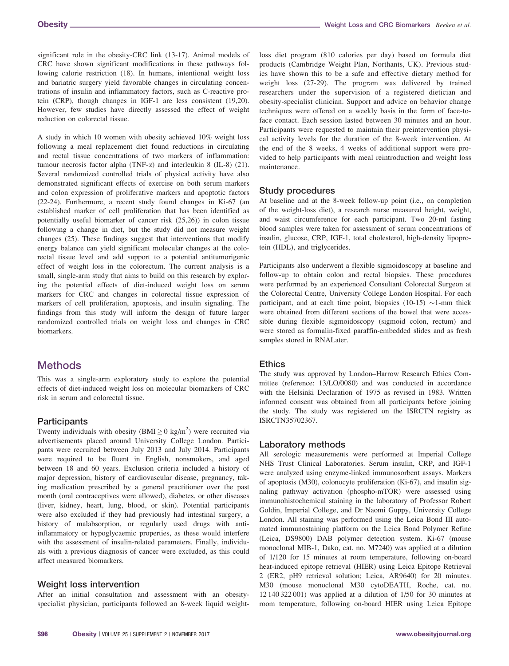significant role in the obesity-CRC link (13-17). Animal models of CRC have shown significant modifications in these pathways following calorie restriction (18). In humans, intentional weight loss and bariatric surgery yield favorable changes in circulating concentrations of insulin and inflammatory factors, such as C-reactive protein (CRP), though changes in IGF-1 are less consistent (19,20). However, few studies have directly assessed the effect of weight reduction on colorectal tissue.

A study in which 10 women with obesity achieved 10% weight loss following a meal replacement diet found reductions in circulating and rectal tissue concentrations of two markers of inflammation: tumour necrosis factor alpha (TNF- $\alpha$ ) and interleukin 8 (IL-8) (21). Several randomized controlled trials of physical activity have also demonstrated significant effects of exercise on both serum markers and colon expression of proliferative markers and apoptotic factors (22-24). Furthermore, a recent study found changes in Ki-67 (an established marker of cell proliferation that has been identified as potentially useful biomarker of cancer risk (25,26)) in colon tissue following a change in diet, but the study did not measure weight changes (25). These findings suggest that interventions that modify energy balance can yield significant molecular changes at the colorectal tissue level and add support to a potential antitumorigenic effect of weight loss in the colorectum. The current analysis is a small, single-arm study that aims to build on this research by exploring the potential effects of diet-induced weight loss on serum markers for CRC and changes in colorectal tissue expression of markers of cell proliferation, apoptosis, and insulin signaling. The findings from this study will inform the design of future larger randomized controlled trials on weight loss and changes in CRC biomarkers.

# **Methods**

This was a single-arm exploratory study to explore the potential effects of diet-induced weight loss on molecular biomarkers of CRC risk in serum and colorectal tissue.

# **Participants**

Twenty individuals with obesity (BMI $\geq$  0 kg/m<sup>2</sup>) were recruited via advertisements placed around University College London. Participants were recruited between July 2013 and July 2014. Participants were required to be fluent in English, nonsmokers, and aged between 18 and 60 years. Exclusion criteria included a history of major depression, history of cardiovascular disease, pregnancy, taking medication prescribed by a general practitioner over the past month (oral contraceptives were allowed), diabetes, or other diseases (liver, kidney, heart, lung, blood, or skin). Potential participants were also excluded if they had previously had intestinal surgery, a history of malabsorption, or regularly used drugs with antiinflammatory or hypoglycaemic properties, as these would interfere with the assessment of insulin-related parameters. Finally, individuals with a previous diagnosis of cancer were excluded, as this could affect measured biomarkers.

# Weight loss intervention

After an initial consultation and assessment with an obesityspecialist physician, participants followed an 8-week liquid weightloss diet program (810 calories per day) based on formula diet products (Cambridge Weight Plan, Northants, UK). Previous studies have shown this to be a safe and effective dietary method for weight loss (27-29). The program was delivered by trained researchers under the supervision of a registered dietician and obesity-specialist clinician. Support and advice on behavior change techniques were offered on a weekly basis in the form of face-toface contact. Each session lasted between 30 minutes and an hour. Participants were requested to maintain their preintervention physical activity levels for the duration of the 8-week intervention. At the end of the 8 weeks, 4 weeks of additional support were provided to help participants with meal reintroduction and weight loss maintenance.

# Study procedures

At baseline and at the 8-week follow-up point (i.e., on completion of the weight-loss diet), a research nurse measured height, weight, and waist circumference for each participant. Two 20-ml fasting blood samples were taken for assessment of serum concentrations of insulin, glucose, CRP, IGF-1, total cholesterol, high-density lipoprotein (HDL), and triglycerides.

Participants also underwent a flexible sigmoidoscopy at baseline and follow-up to obtain colon and rectal biopsies. These procedures were performed by an experienced Consultant Colorectal Surgeon at the Colorectal Centre, University College London Hospital. For each participant, and at each time point, biopsies (10-15)  $\sim$ 1-mm thick were obtained from different sections of the bowel that were accessible during flexible sigmoidoscopy (sigmoid colon, rectum) and were stored as formalin-fixed paraffin-embedded slides and as fresh samples stored in RNALater.

# **Ethics**

The study was approved by London–Harrow Research Ethics Committee (reference: 13/LO/0080) and was conducted in accordance with the Helsinki Declaration of 1975 as revised in 1983. Written informed consent was obtained from all participants before joining the study. The study was registered on the ISRCTN registry as ISRCTN35702367.

# Laboratory methods

All serologic measurements were performed at Imperial College NHS Trust Clinical Laboratories. Serum insulin, CRP, and IGF-1 were analyzed using enzyme-linked immunosorbent assays. Markers of apoptosis (M30), colonocyte proliferation (Ki-67), and insulin signaling pathway activation (phospho-mTOR) were assessed using immunohistochemical staining in the laboratory of Professor Robert Goldin, Imperial College, and Dr Naomi Guppy, University College London. All staining was performed using the Leica Bond III automated immunostaining platform on the Leica Bond Polymer Refine (Leica, DS9800) DAB polymer detection system. Ki-67 (mouse monoclonal MIB-1, Dako, cat. no. M7240) was applied at a dilution of 1/120 for 15 minutes at room temperature, following on-board heat-induced epitope retrieval (HIER) using Leica Epitope Retrieval 2 (ER2, pH9 retrieval solution; Leica, AR9640) for 20 minutes. M30 (mouse monoclonal M30 cytoDEATH, Roche, cat. no. 12 140 322 001) was applied at a dilution of 1/50 for 30 minutes at room temperature, following on-board HIER using Leica Epitope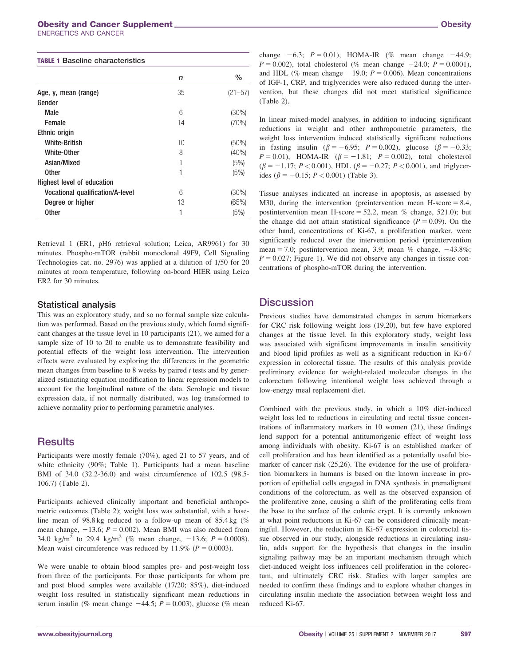#### Obesity and Cancer Supplement **Cancer Supplement** Obesity and Cancer Supplement **Obesity**

ENERGETICS AND CANCER

| <b>TABLE 1 Baseline characteristics</b> |    |             |  |
|-----------------------------------------|----|-------------|--|
|                                         | n  | $\%$        |  |
| Age, y, mean (range)                    | 35 | $(21 - 57)$ |  |
| Gender                                  |    |             |  |
| Male                                    | 6  | $(30\%)$    |  |
| Female                                  | 14 | (70%)       |  |
| Ethnic origin                           |    |             |  |
| <b>White-British</b>                    | 10 | $(50\%)$    |  |
| White-Other                             | 8  | $(40\%)$    |  |
| Asian/Mixed                             | 1  | (5%)        |  |
| <b>Other</b>                            | 1  | (5%)        |  |
| Highest level of education              |    |             |  |
| <b>Vocational qualification/A-level</b> | 6  | $(30\%)$    |  |
| Degree or higher                        | 13 | (65%)       |  |
| Other                                   | 1  | (5%)        |  |

Retrieval 1 (ER1, pH6 retrieval solution; Leica, AR9961) for 30 minutes. Phospho-mTOR (rabbit monoclonal 49F9, Cell Signaling Technologies cat. no. 2976) was applied at a dilution of 1/50 for 20 minutes at room temperature, following on-board HIER using Leica ER2 for 30 minutes.

#### Statistical analysis

This was an exploratory study, and so no formal sample size calculation was performed. Based on the previous study, which found significant changes at the tissue level in 10 participants (21), we aimed for a sample size of 10 to 20 to enable us to demonstrate feasibility and potential effects of the weight loss intervention. The intervention effects were evaluated by exploring the differences in the geometric mean changes from baseline to 8 weeks by paired  $t$  tests and by generalized estimating equation modification to linear regression models to account for the longitudinal nature of the data. Serologic and tissue expression data, if not normally distributed, was log transformed to achieve normality prior to performing parametric analyses.

# **Results**

Participants were mostly female (70%), aged 21 to 57 years, and of white ethnicity (90%; Table 1). Participants had a mean baseline BMI of 34.0 (32.2-36.0) and waist circumference of 102.5 (98.5- 106.7) (Table 2).

Participants achieved clinically important and beneficial anthropometric outcomes (Table 2); weight loss was substantial, with a baseline mean of 98.8 kg reduced to a follow-up mean of 85.4 kg (% mean change,  $-13.6$ ;  $P = 0.002$ ). Mean BMI was also reduced from 34.0 kg/m<sup>2</sup> to 29.4 kg/m<sup>2</sup> (% mean change,  $-13.6$ ;  $P = 0.0008$ ). Mean waist circumference was reduced by 11.9% ( $P = 0.0003$ ).

We were unable to obtain blood samples pre- and post-weight loss from three of the participants. For those participants for whom pre and post blood samples were available (17/20; 85%), diet-induced weight loss resulted in statistically significant mean reductions in serum insulin (% mean change  $-44.5$ ;  $P = 0.003$ ), glucose (% mean change  $-6.3$ ;  $P = 0.01$ ), HOMA-IR (% mean change  $-44.9$ ;  $P = 0.002$ ), total cholesterol (% mean change  $-24.0$ ;  $P = 0.0001$ ), and HDL (% mean change  $-19.0$ ;  $P = 0.006$ ). Mean concentrations of IGF-1, CRP, and triglycerides were also reduced during the intervention, but these changes did not meet statistical significance (Table 2).

In linear mixed-model analyses, in addition to inducing significant reductions in weight and other anthropometric parameters, the weight loss intervention induced statistically significant reductions in fasting insulin ( $\beta = -6.95$ ;  $P = 0.002$ ), glucose ( $\beta = -0.33$ ;  $P = 0.01$ ), HOMA-IR ( $\beta = -1.81$ ;  $P = 0.002$ ), total cholesterol  $(\beta = -1.17; P < 0.001)$ , HDL  $(\beta = -0.27; P < 0.001)$ , and triglycerides ( $\beta = -0.15$ ;  $P < 0.001$ ) (Table 3).

Tissue analyses indicated an increase in apoptosis, as assessed by M30, during the intervention (preintervention mean H-score  $= 8.4$ , postintervention mean H-score = 52.2, mean  $%$  change, 521.0); but the change did not attain statistical significance ( $P = 0.09$ ). On the other hand, concentrations of Ki-67, a proliferation marker, were significantly reduced over the intervention period (preintervention mean = 7.0; postintervention mean, 3.9; mean % change,  $-43.8\%$ ;  $P = 0.027$ ; Figure 1). We did not observe any changes in tissue concentrations of phospho-mTOR during the intervention.

# **Discussion**

Previous studies have demonstrated changes in serum biomarkers for CRC risk following weight loss (19,20), but few have explored changes at the tissue level. In this exploratory study, weight loss was associated with significant improvements in insulin sensitivity and blood lipid profiles as well as a significant reduction in Ki-67 expression in colorectal tissue. The results of this analysis provide preliminary evidence for weight-related molecular changes in the colorectum following intentional weight loss achieved through a low-energy meal replacement diet.

Combined with the previous study, in which a 10% diet-induced weight loss led to reductions in circulating and rectal tissue concentrations of inflammatory markers in 10 women (21), these findings lend support for a potential antitumorigenic effect of weight loss among individuals with obesity. Ki-67 is an established marker of cell proliferation and has been identified as a potentially useful biomarker of cancer risk (25,26). The evidence for the use of proliferation biomarkers in humans is based on the known increase in proportion of epithelial cells engaged in DNA synthesis in premalignant conditions of the colorectum, as well as the observed expansion of the proliferative zone, causing a shift of the proliferating cells from the base to the surface of the colonic crypt. It is currently unknown at what point reductions in Ki-67 can be considered clinically meaningful. However, the reduction in Ki-67 expression in colorectal tissue observed in our study, alongside reductions in circulating insulin, adds support for the hypothesis that changes in the insulin signaling pathway may be an important mechanism through which diet-induced weight loss influences cell proliferation in the colorectum, and ultimately CRC risk. Studies with larger samples are needed to confirm these findings and to explore whether changes in circulating insulin mediate the association between weight loss and reduced Ki-67.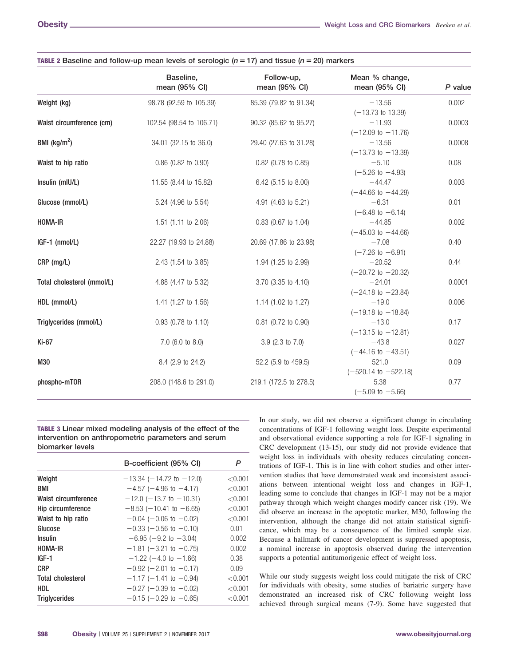|                            | Baseline,<br>mean (95% CI)     | Follow-up,<br>mean (95% CI) | Mean % change,<br>mean (95% CI) | $P$ value |
|----------------------------|--------------------------------|-----------------------------|---------------------------------|-----------|
| Weight (kg)                | 98.78 (92.59 to 105.39)        | 85.39 (79.82 to 91.34)      | $-13.56$                        | 0.002     |
|                            |                                |                             | $(-13.73$ to 13.39)             |           |
| Waist circumference (cm)   | 102.54 (98.54 to 106.71)       | 90.32 (85.62 to 95.27)      | $-11.93$                        | 0.0003    |
|                            |                                |                             | $(-12.09 \text{ to } -11.76)$   |           |
| BMI ( $\text{kg/m}^2$ )    | 34.01 (32.15 to 36.0)          | 29.40 (27.63 to 31.28)      | $-13.56$                        | 0.0008    |
|                            |                                |                             | $(-13.73$ to $-13.39)$          |           |
| Waist to hip ratio         | $0.86$ (0.82 to 0.90)          | 0.82 (0.78 to 0.85)         | $-5.10$                         | 0.08      |
|                            |                                |                             | $(-5.26 \text{ to } -4.93)$     |           |
| Insulin (mIU/L)            | 11.55 (8.44 to 15.82)          | 6.42 (5.15 to 8.00)         | $-44.47$                        | 0.003     |
|                            |                                |                             | $(-44.66 \text{ to } -44.29)$   |           |
| Glucose (mmol/L)           | 5.24 (4.96 to 5.54)            | 4.91 (4.63 to 5.21)         | $-6.31$                         | 0.01      |
|                            |                                |                             | $(-6.48 \text{ to } -6.14)$     |           |
| <b>HOMA-IR</b>             | 1.51 $(1.11$ to 2.06)          | $0.83$ (0.67 to 1.04)       | $-44.85$                        | 0.002     |
|                            |                                |                             | $(-45.03 \text{ to } -44.66)$   |           |
| IGF-1 (nmol/L)             | 22.27 (19.93 to 24.88)         | 20.69 (17.86 to 23.98)      | $-7.08$                         | 0.40      |
|                            |                                |                             | $(-7.26 \text{ to } -6.91)$     |           |
| CRP (mg/L)                 | 2.43 (1.54 to 3.85)            | 1.94 (1.25 to 2.99)         | $-20.52$                        | 0.44      |
|                            |                                |                             | $(-20.72$ to $-20.32)$          |           |
| Total cholesterol (mmol/L) | 4.88 (4.47 to 5.32)            | 3.70 (3.35 to 4.10)         | $-24.01$                        | 0.0001    |
|                            |                                |                             | $(-24.18 \text{ to } -23.84)$   |           |
| HDL (mmol/L)               | 1.41 $(1.27 \text{ to } 1.56)$ | 1.14 (1.02 to 1.27)         | $-19.0$                         | 0.006     |
|                            |                                |                             | $(-19.18 \text{ to } -18.84)$   |           |
| Triglycerides (mmol/L)     | 0.93 (0.78 to 1.10)            | 0.81 (0.72 to 0.90)         | $-13.0$                         | 0.17      |
|                            |                                |                             | $(-13.15 \text{ to } -12.81)$   |           |
| Ki-67                      | $7.0$ (6.0 to 8.0)             | $3.9$ (2.3 to 7.0)          | $-43.8$                         | 0.027     |
|                            |                                |                             | $(-44.16 \text{ to } -43.51)$   |           |
| M30                        | 8.4 (2.9 to 24.2)              | 52.2 (5.9 to 459.5)         | 521.0                           | 0.09      |
|                            |                                |                             | $(-520.14 \text{ to } -522.18)$ |           |
| phospho-mTOR               | 208.0 (148.6 to 291.0)         | 219.1 (172.5 to 278.5)      | 5.38                            | 0.77      |
|                            |                                |                             | $(-5.09 \text{ to } -5.66)$     |           |

|  | TABLE 2 Baseline and follow-up mean levels of serologic ( $n = 17$ ) and tissue ( $n = 20$ ) markers |
|--|------------------------------------------------------------------------------------------------------|
|--|------------------------------------------------------------------------------------------------------|

TABLE 3 Linear mixed modeling analysis of the effect of the intervention on anthropometric parameters and serum biomarker levels

|                          | B-coefficient (95% CI)           | P       |
|--------------------------|----------------------------------|---------|
| Weight                   | $-13.34$ ( $-14.72$ to $-12.0$ ) | < 0.001 |
| BMI                      | $-4.57$ ( $-4.96$ to $-4.17$ )   | < 0.001 |
| Waist circumference      | $-12.0$ ( $-13.7$ to $-10.31$ )  | < 0.001 |
| Hip circumference        | $-8.53$ ( $-10.41$ to $-6.65$ )  | < 0.001 |
| Waist to hip ratio       | $-0.04$ ( $-0.06$ to $-0.02$ )   | < 0.001 |
| Glucose                  | $-0.33$ ( $-0.56$ to $-0.10$ )   | 0.01    |
| <b>Insulin</b>           | $-6.95$ ( $-9.2$ to $-3.04$ )    | 0.002   |
| <b>HOMA-IR</b>           | $-1.81$ ( $-3.21$ to $-0.75$ )   | 0.002   |
| IGF-1                    | $-1.22$ ( $-4.0$ to $-1.66$ )    | 0.38    |
| <b>CRP</b>               | $-0.92$ (-2.01 to -0.17)         | 0.09    |
| <b>Total cholesterol</b> | $-1.17$ (-1.41 to -0.94)         | < 0.001 |
| <b>HDL</b>               | $-0.27$ ( $-0.39$ to $-0.02$ )   | < 0.001 |
| <b>Triglycerides</b>     | $-0.15$ ( $-0.29$ to $-0.65$ )   | < 0.001 |

In our study, we did not observe a significant change in circulating concentrations of IGF-1 following weight loss. Despite experimental and observational evidence supporting a role for IGF-1 signaling in CRC development (13-15), our study did not provide evidence that weight loss in individuals with obesity reduces circulating concentrations of IGF-1. This is in line with cohort studies and other intervention studies that have demonstrated weak and inconsistent associations between intentional weight loss and changes in IGF-1, leading some to conclude that changes in IGF-1 may not be a major pathway through which weight changes modify cancer risk (19). We did observe an increase in the apoptotic marker, M30, following the intervention, although the change did not attain statistical significance, which may be a consequence of the limited sample size. Because a hallmark of cancer development is suppressed apoptosis, a nominal increase in apoptosis observed during the intervention supports a potential antitumorigenic effect of weight loss.

While our study suggests weight loss could mitigate the risk of CRC for individuals with obesity, some studies of bariatric surgery have demonstrated an increased risk of CRC following weight loss achieved through surgical means (7-9). Some have suggested that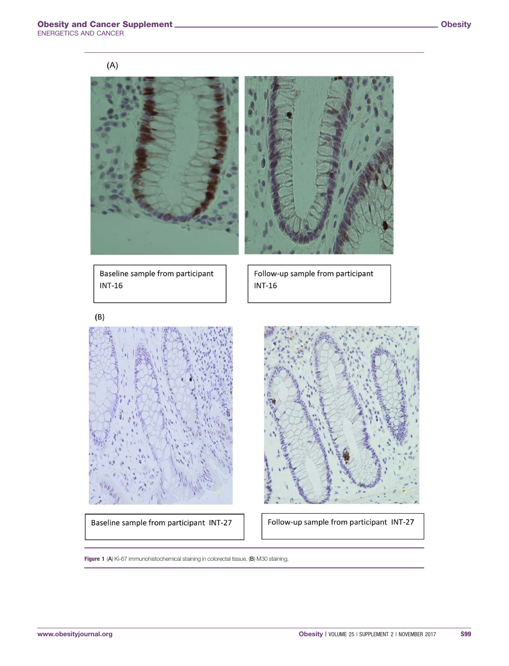

Baseline sample from participant **INT-16** 

Follow-up sample from participant  $INT-16$ 

Baseline sample from participant INT-27

Follow-up sample from participant INT-27

Figure 1 (A) Ki-67 immunohistochemical staining in colorectal tissue. (B) M30 staining.

 $(B)$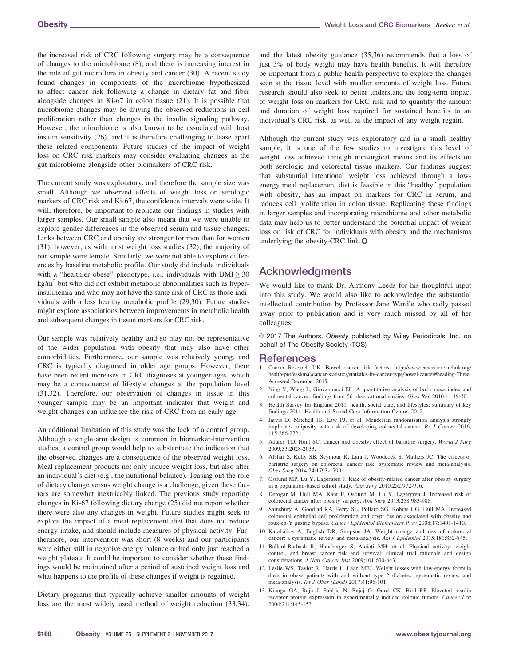the increased risk of CRC following surgery may be a consequence of changes to the microbiome (8), and there is increasing interest in the role of gut microflora in obesity and cancer (30). A recent study found changes in components of the microbiome hypothesized to affect cancer risk following a change in dietary fat and fiber alongside changes in Ki-67 in colon tissue (21). It is possible that microbiome changes may be driving the observed reductions in cell proliferation rather than changes in the insulin signaling pathway. However, the microbiome is also known to be associated with host insulin sensitivity (26), and it is therefore challenging to tease apart these related components. Future studies of the impact of weight loss on CRC risk markers may consider evaluating changes in the gut microbiome alongside other biomarkers of CRC risk.

The current study was exploratory, and therefore the sample size was small. Although we observed effects of weight loss on serologic markers of CRC risk and Ki-67, the confidence intervals were wide. It will, therefore, be important to replicate our findings in studies with larger samples. Our small sample also meant that we were unable to explore gender differences in the observed serum and tissue changes. Links between CRC and obesity are stronger for men than for women (31); however, as with most weight loss studies (32), the majority of our sample were female. Similarly, we were not able to explore differences by baseline metabolic profile. Our study did include individuals with a "healthier obese" phenotype, i.e., individuals with  $BMI \geq 30$  $kg/m<sup>2</sup>$  but who did not exhibit metabolic abnormalities such as hyperinsulinemia and who may not have the same risk of CRC as those individuals with a less healthy metabolic profile (29,30). Future studies might explore associations between improvements in metabolic health and subsequent changes in tissue markers for CRC risk.

Our sample was relatively healthy and so may not be representative of the wider population with obesity that may also have other comorbidities. Furthermore, our sample was relatively young, and CRC is typically diagnosed in older age groups. However, there have been recent increases in CRC diagnoses at younger ages, which may be a consequence of lifestyle changes at the population level (31,32). Therefore, our observation of changes in tissue in this younger sample may be an important indicator that weight and weight changes can influence the risk of CRC from an early age.

An additional limitation of this study was the lack of a control group. Although a single-arm design is common in biomarker-intervention studies, a control group would help to substantiate the indication that the observed changes are a consequence of the observed weight loss. Meal replacement products not only induce weight loss, but also alter an individual's diet (e.g., the nutritional balance). Teasing out the role of dietary change versus weight change is a challenge, given these factors are somewhat inextricably linked. The previous study reporting changes in Ki-67 following dietary change (25) did not report whether there were also any changes in weight. Future studies might seek to explore the impact of a meal replacement diet that does not reduce energy intake, and should include measures of physical activity. Furthermore, our intervention was short (8 weeks) and our participants were either still in negative energy balance or had only just reached a weight plateau. It could be important to consider whether these findings would be maintained after a period of sustained weight loss and what happens to the profile of these changes if weight is regained.

Dietary programs that typically achieve smaller amounts of weight loss are the most widely used method of weight reduction (33,34),

and the latest obesity guidance (35,36) recommends that a loss of just 3% of body weight may have health benefits. It will therefore be important from a public health perspective to explore the changes seen at the tissue level with smaller amounts of weight loss. Future research should also seek to better understand the long-term impact of weight loss on markers for CRC risk and to quantify the amount and duration of weight loss required for sustained benefits to an individual's CRC risk, as well as the impact of any weight regain.

Although the current study was exploratory and in a small healthy sample, it is one of the few studies to investigate this level of weight loss achieved through nonsurgical means and its effects on both serologic and colorectal tissue markers. Our findings suggest that substantial intentional weight loss achieved through a lowenergy meal replacement diet is feasible in this "healthy" population with obesity, has an impact on markers for CRC in serum, and reduces cell proliferation in colon tissue. Replicating these findings in larger samples and incorporating microbiome and other metabolic data may help us to better understand the potential impact of weight loss on risk of CRC for individuals with obesity and the mechanisms underlying the obesity-CRC link.O

# Acknowledgments

We would like to thank Dr. Anthony Leeds for his thoughtful input into this study. We would also like to acknowledge the substantial intellectual contribution by Professor Jane Wardle who sadly passed away prior to publication and is very much missed by all of her colleagues.

© 2017 The Authors. Obesity published by Wiley Periodicals, Inc. on behalf of The Obesity Society (TOS)

#### **References**

- 1. Cancer Research UK. Bowel cancer risk factors. [http://www.cancerresearchuk.org/](http://www.cancerresearchuk.org/health-professional/cancer-statistics/statistics-by-cancer-type/bowel-cancer#heading-Three) [health-professional/cancer-statistics/statistics-by-cancer-type/bowel-cancer#heading-Three.](http://www.cancerresearchuk.org/health-professional/cancer-statistics/statistics-by-cancer-type/bowel-cancer#heading-Three) Accessed December 2015.
- 2. Ning Y, Wang L, Giovannucci EL. A quantitative analysis of body mass index and colorectal cancer: findings from 56 observational studies. Obes Rev 2010;11:19-30.
- 3. Health Survey for England 2011: health, social care, and lifestyles: summary of key findings 2011. Health and Social Care Information Centre. 2012.
- 4. Jarvis D, Mitchell JS, Law PJ, et al. Mendelian randomisation analysis strongly implicates adiposity with risk of developing colorectal cancer. Br J Cancer 2016; 115:266-272.
- 5. Adams TD, Hunt SC. Cancer and obesity: effect of bariatric surgery. World J Surg 2009;33:2028-2033.
- 6. Afshar S, Kelly SB, Seymour K, Lara J, Woodcock S, Mathers JC. The effects of bariatric surgery on colorectal cancer risk: systematic review and meta-analysis. Obes Surg 2014;24:1793-1799.
- 7. Ostlund MP, Lu Y, Lagergren J. Risk of obesity-related cancer after obesity surgery in a population-based cohort study. Ann Surg 2010;252:972-976.
- 8. Derogar M, Hull MA, Kant P, Ostlund M, Lu Y, Lagergren J. Increased risk of colorectal cancer after obesity surgery. Ann Surg 2013;258:983-988.
- 9. Sainsbury A, Goodlad RA, Perry SL, Pollard SG, Robins GG, Hull MA. Increased colorectal epithelial cell proliferation and crypt fission associated with obesity and roux-en-Y gastric bypass. Cancer Epidemiol Biomarkers Prev 2008;17:1401-1410.
- 10. Karahalios A, English DR, Simpson JA. Weight change and risk of colorectal cancer: a systematic review and meta-analysis. Am J Epidemiol 2015;181:832-845.
- 11. Ballard-Barbash R, Hunsberger S, Alciati MH, et al. Physical activity, weight control, and breast cancer risk and survival: clinical trial rationale and design considerations. J Natl Cancer Inst 2009;101:630-643.
- 12. Leslie WS, Taylor R, Harris L, Lean MEJ. Weight losses with low-energy formula diets in obese patients with and without type 2 diabetes: systematic review and meta-analysis. Int J Obes (Lond) 2017;41:96-101.
- 13. Kiunga GA, Raju J, Sabljic N, Bajaj G, Good CK, Bird RP. Elevated insulin receptor protein expression in experimentally induced colonic tumors. Cancer Lett 2004;211:145-153.